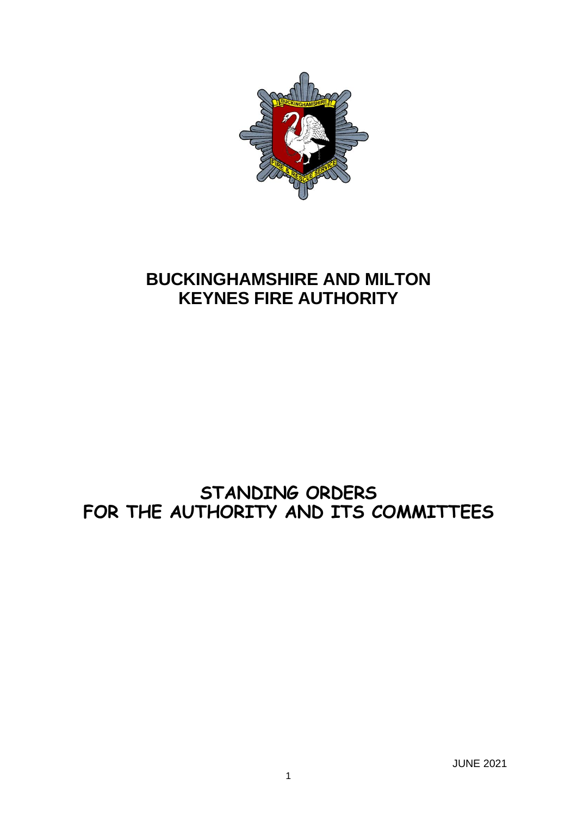

# **BUCKINGHAMSHIRE AND MILTON KEYNES FIRE AUTHORITY**

# **STANDING ORDERS FOR THE AUTHORITY AND ITS COMMITTEES**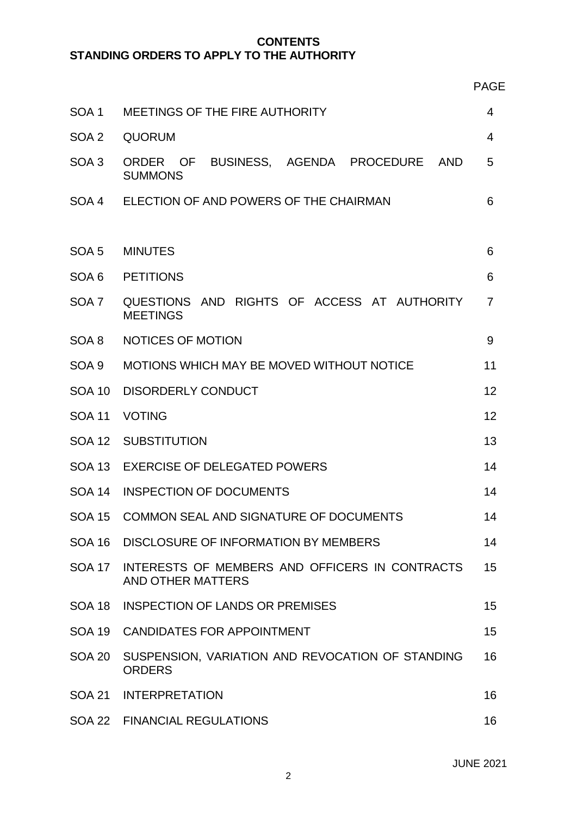# **CONTENTS STANDING ORDERS TO APPLY TO THE AUTHORITY**

|                  |                                                                                         | <b>PAGE</b> |  |  |
|------------------|-----------------------------------------------------------------------------------------|-------------|--|--|
| SOA <sub>1</sub> | MEETINGS OF THE FIRE AUTHORITY                                                          |             |  |  |
| SOA <sub>2</sub> | <b>QUORUM</b>                                                                           |             |  |  |
| SOA <sub>3</sub> | BUSINESS, AGENDA PROCEDURE<br><b>AND</b><br><b>ORDER</b><br><b>OF</b><br><b>SUMMONS</b> | 5           |  |  |
|                  | SOA 4 ELECTION OF AND POWERS OF THE CHAIRMAN                                            | 6           |  |  |
| SOA <sub>5</sub> | <b>MINUTES</b>                                                                          |             |  |  |
| SOA <sub>6</sub> | <b>PETITIONS</b>                                                                        |             |  |  |
| SOA <sub>7</sub> | QUESTIONS AND RIGHTS OF ACCESS AT AUTHORITY<br><b>MEETINGS</b>                          |             |  |  |
| SOA 8            | NOTICES OF MOTION                                                                       | 9           |  |  |
| SOA 9            | MOTIONS WHICH MAY BE MOVED WITHOUT NOTICE                                               |             |  |  |
| <b>SOA 10</b>    | <b>DISORDERLY CONDUCT</b>                                                               |             |  |  |
| <b>SOA 11</b>    | <b>VOTING</b>                                                                           |             |  |  |
| <b>SOA 12</b>    | <b>SUBSTITUTION</b>                                                                     |             |  |  |
| <b>SOA 13</b>    | <b>EXERCISE OF DELEGATED POWERS</b>                                                     |             |  |  |
| <b>SOA 14</b>    | <b>INSPECTION OF DOCUMENTS</b>                                                          |             |  |  |
| <b>SOA 15</b>    | COMMON SEAL AND SIGNATURE OF DOCUMENTS                                                  |             |  |  |
| <b>SOA 16</b>    | DISCLOSURE OF INFORMATION BY MEMBERS                                                    |             |  |  |
| <b>SOA 17</b>    | INTERESTS OF MEMBERS AND OFFICERS IN CONTRACTS<br><b>AND OTHER MATTERS</b>              |             |  |  |
| <b>SOA 18</b>    | <b>INSPECTION OF LANDS OR PREMISES</b>                                                  |             |  |  |
| <b>SOA 19</b>    | <b>CANDIDATES FOR APPOINTMENT</b>                                                       |             |  |  |
| <b>SOA 20</b>    | SUSPENSION, VARIATION AND REVOCATION OF STANDING<br><b>ORDERS</b>                       |             |  |  |
| <b>SOA 21</b>    | <b>INTERPRETATION</b>                                                                   | 16          |  |  |
|                  | SOA 22 FINANCIAL REGULATIONS                                                            | 16          |  |  |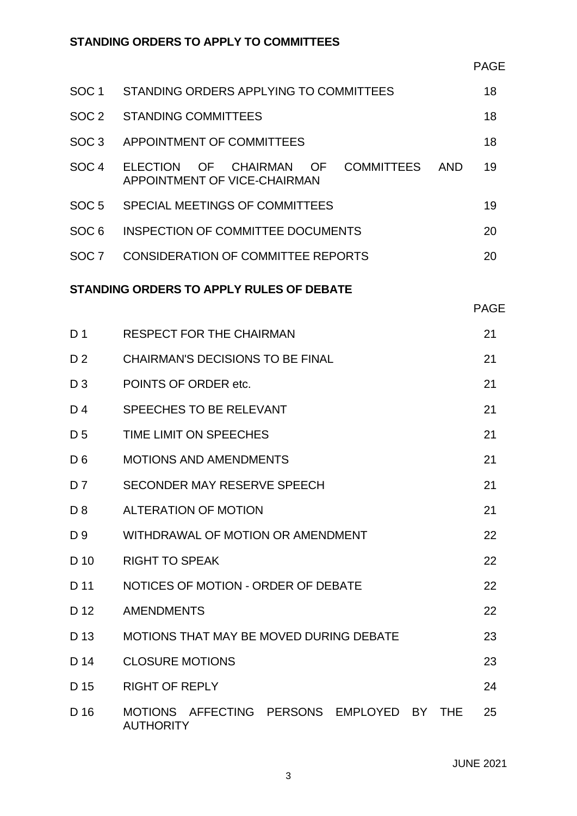| SOC <sub>1</sub>                         | STANDING ORDERS APPLYING TO COMMITTEES                                                        |             |  |
|------------------------------------------|-----------------------------------------------------------------------------------------------|-------------|--|
| SOC <sub>2</sub>                         | <b>STANDING COMMITTEES</b>                                                                    | 18          |  |
| SOC <sub>3</sub>                         | APPOINTMENT OF COMMITTEES                                                                     | 18          |  |
| SOC <sub>4</sub>                         | <b>COMMITTEES</b><br><b>ELECTION</b><br>OF CHAIRMAN OF<br>AND<br>APPOINTMENT OF VICE-CHAIRMAN | 19          |  |
| SOC <sub>5</sub>                         | SPECIAL MEETINGS OF COMMITTEES                                                                | 19          |  |
| SOC <sub>6</sub>                         | <b>INSPECTION OF COMMITTEE DOCUMENTS</b>                                                      | 20          |  |
| SOC <sub>7</sub>                         | <b>CONSIDERATION OF COMMITTEE REPORTS</b>                                                     | 20          |  |
| STANDING ORDERS TO APPLY RULES OF DEBATE |                                                                                               |             |  |
|                                          |                                                                                               | <b>PAGE</b> |  |
| D <sub>1</sub>                           | <b>RESPECT FOR THE CHAIRMAN</b>                                                               | 21          |  |
| D <sub>2</sub>                           | <b>CHAIRMAN'S DECISIONS TO BE FINAL</b>                                                       | 21          |  |
| $D_3$                                    | POINTS OF ORDER etc.                                                                          | 21          |  |

|                | TUITTU UI UITULITUU.          |    |
|----------------|-------------------------------|----|
| D <sub>4</sub> | SPEECHES TO BE RELEVANT       | 21 |
| D <sub>5</sub> | TIME LIMIT ON SPEECHES        | 21 |
| D <sub>6</sub> | <b>MOTIONS AND AMENDMENTS</b> | 21 |
| D <sub>7</sub> | SECONDER MAY RESERVE SPEECH   | 21 |
| D <sub>8</sub> | <b>ALTERATION OF MOTION</b>   | 21 |

| D <sub>9</sub> | WITHDRAWAL OF MOTION OR AMENDMENT | 22 |
|----------------|-----------------------------------|----|
| D 10           | <b>RIGHT TO SPEAK</b>             |    |

| D 11 | NOTICES OF MOTION - ORDER OF DEBATE |  |
|------|-------------------------------------|--|
| D 12 | <b>AMENDMENTS</b>                   |  |

| D 13        | MOTIONS THAT MAY BE MOVED DURING DEBATE   |  | 23 |
|-------------|-------------------------------------------|--|----|
| D 14        | <b>CLOSURE MOTIONS</b>                    |  | 23 |
| D 15        | <b>RIGHT OF REPLY</b>                     |  | 24 |
| $\Gamma$ 16 | MOTIONS AFFECTING DERSONS FMDLOVED BY THE |  | つに |

D 16 MOTIONS AFFECTING PERSONS EMPLOYED BY THE 25AUTHORITY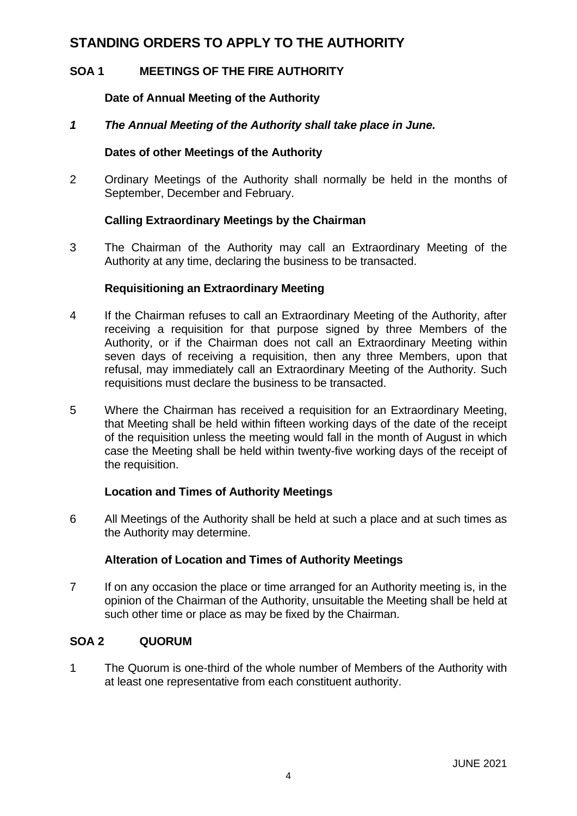# **STANDING ORDERS TO APPLY TO THE AUTHORITY**

# **SOA 1 MEETINGS OF THE FIRE AUTHORITY**

# **Date of Annual Meeting of the Authority**

# *1 The Annual Meeting of the Authority shall take place in June.*

# **Dates of other Meetings of the Authority**

2 Ordinary Meetings of the Authority shall normally be held in the months of September, December and February.

# **Calling Extraordinary Meetings by the Chairman**

3 The Chairman of the Authority may call an Extraordinary Meeting of the Authority at any time, declaring the business to be transacted.

# **Requisitioning an Extraordinary Meeting**

- 4 If the Chairman refuses to call an Extraordinary Meeting of the Authority, after receiving a requisition for that purpose signed by three Members of the Authority, or if the Chairman does not call an Extraordinary Meeting within seven days of receiving a requisition, then any three Members, upon that refusal, may immediately call an Extraordinary Meeting of the Authority. Such requisitions must declare the business to be transacted.
- 5 Where the Chairman has received a requisition for an Extraordinary Meeting, that Meeting shall be held within fifteen working days of the date of the receipt of the requisition unless the meeting would fall in the month of August in which case the Meeting shall be held within twenty-five working days of the receipt of the requisition.

# **Location and Times of Authority Meetings**

6 All Meetings of the Authority shall be held at such a place and at such times as the Authority may determine.

# **Alteration of Location and Times of Authority Meetings**

7 If on any occasion the place or time arranged for an Authority meeting is, in the opinion of the Chairman of the Authority, unsuitable the Meeting shall be held at such other time or place as may be fixed by the Chairman.

# **SOA 2 QUORUM**

1 The Quorum is one-third of the whole number of Members of the Authority with at least one representative from each constituent authority.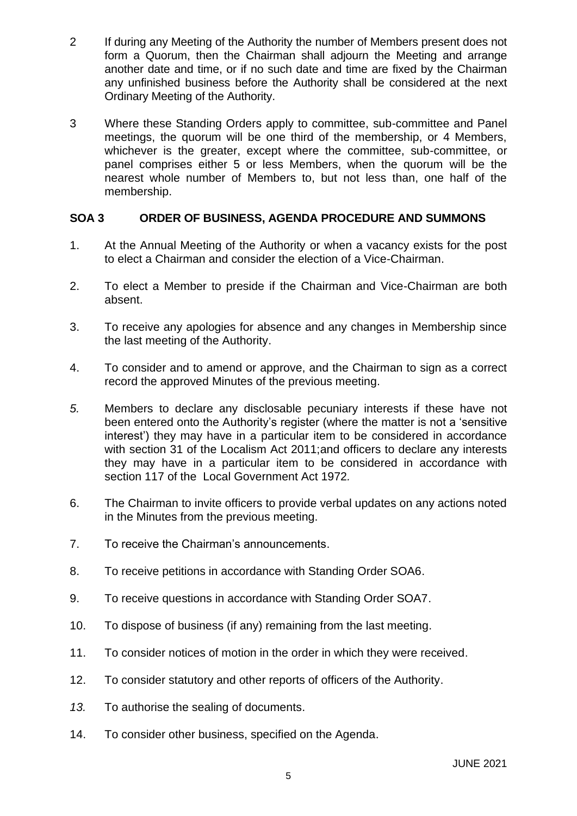- 2 If during any Meeting of the Authority the number of Members present does not form a Quorum, then the Chairman shall adjourn the Meeting and arrange another date and time, or if no such date and time are fixed by the Chairman any unfinished business before the Authority shall be considered at the next Ordinary Meeting of the Authority.
- 3 Where these Standing Orders apply to committee, sub-committee and Panel meetings, the quorum will be one third of the membership, or 4 Members, whichever is the greater, except where the committee, sub-committee, or panel comprises either 5 or less Members, when the quorum will be the nearest whole number of Members to, but not less than, one half of the membership.

# **SOA 3 ORDER OF BUSINESS, AGENDA PROCEDURE AND SUMMONS**

- 1. At the Annual Meeting of the Authority or when a vacancy exists for the post to elect a Chairman and consider the election of a Vice-Chairman.
- 2. To elect a Member to preside if the Chairman and Vice-Chairman are both absent.
- 3. To receive any apologies for absence and any changes in Membership since the last meeting of the Authority.
- 4. To consider and to amend or approve, and the Chairman to sign as a correct record the approved Minutes of the previous meeting.
- *5.* Members to declare any disclosable pecuniary interests if these have not been entered onto the Authority's register (where the matter is not a 'sensitive interest') they may have in a particular item to be considered in accordance with section 31 of the Localism Act 2011;and officers to declare any interests they may have in a particular item to be considered in accordance with section 117 of the Local Government Act 1972*.*
- 6. The Chairman to invite officers to provide verbal updates on any actions noted in the Minutes from the previous meeting.
- 7. To receive the Chairman's announcements.
- 8. To receive petitions in accordance with Standing Order SOA6.
- 9. To receive questions in accordance with Standing Order SOA7.
- 10. To dispose of business (if any) remaining from the last meeting.
- 11. To consider notices of motion in the order in which they were received.
- 12. To consider statutory and other reports of officers of the Authority.
- *13.* To authorise the sealing of documents.
- 14. To consider other business, specified on the Agenda.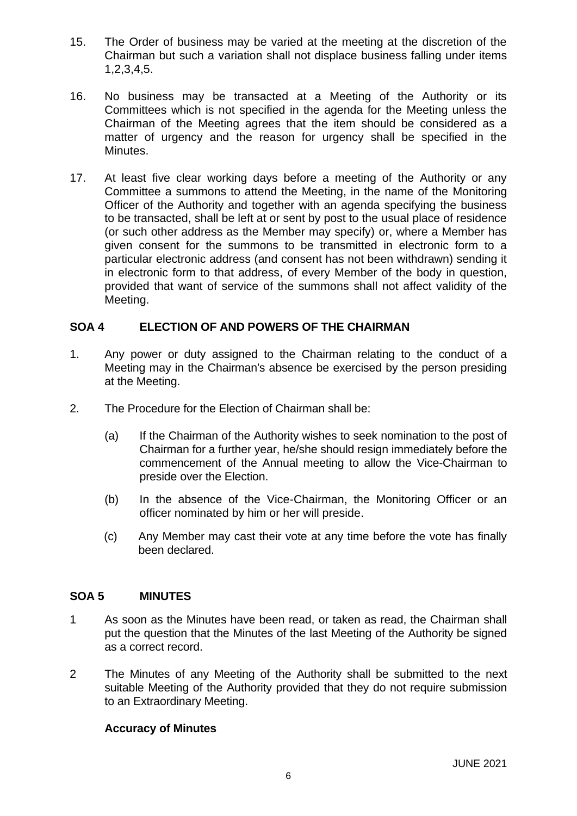- 15. The Order of business may be varied at the meeting at the discretion of the Chairman but such a variation shall not displace business falling under items 1,2,3,4,5.
- 16. No business may be transacted at a Meeting of the Authority or its Committees which is not specified in the agenda for the Meeting unless the Chairman of the Meeting agrees that the item should be considered as a matter of urgency and the reason for urgency shall be specified in the Minutes.
- 17. At least five clear working days before a meeting of the Authority or any Committee a summons to attend the Meeting, in the name of the Monitoring Officer of the Authority and together with an agenda specifying the business to be transacted, shall be left at or sent by post to the usual place of residence (or such other address as the Member may specify) or, where a Member has given consent for the summons to be transmitted in electronic form to a particular electronic address (and consent has not been withdrawn) sending it in electronic form to that address, of every Member of the body in question, provided that want of service of the summons shall not affect validity of the Meeting.

# **SOA 4 ELECTION OF AND POWERS OF THE CHAIRMAN**

- 1. Any power or duty assigned to the Chairman relating to the conduct of a Meeting may in the Chairman's absence be exercised by the person presiding at the Meeting.
- 2. The Procedure for the Election of Chairman shall be:
	- (a) If the Chairman of the Authority wishes to seek nomination to the post of Chairman for a further year, he/she should resign immediately before the commencement of the Annual meeting to allow the Vice-Chairman to preside over the Election.
	- (b) In the absence of the Vice-Chairman, the Monitoring Officer or an officer nominated by him or her will preside.
	- (c) Any Member may cast their vote at any time before the vote has finally been declared.

#### **SOA 5 MINUTES**

- 1 As soon as the Minutes have been read, or taken as read, the Chairman shall put the question that the Minutes of the last Meeting of the Authority be signed as a correct record.
- 2 The Minutes of any Meeting of the Authority shall be submitted to the next suitable Meeting of the Authority provided that they do not require submission to an Extraordinary Meeting.

# **Accuracy of Minutes**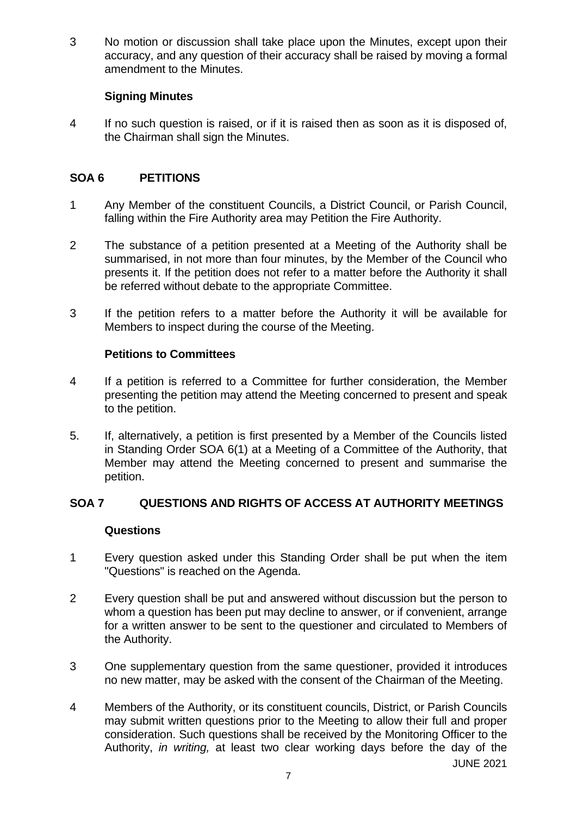3 No motion or discussion shall take place upon the Minutes, except upon their accuracy, and any question of their accuracy shall be raised by moving a formal amendment to the Minutes.

# **Signing Minutes**

4 If no such question is raised, or if it is raised then as soon as it is disposed of, the Chairman shall sign the Minutes.

# **SOA 6 PETITIONS**

- 1 Any Member of the constituent Councils, a District Council, or Parish Council, falling within the Fire Authority area may Petition the Fire Authority.
- 2 The substance of a petition presented at a Meeting of the Authority shall be summarised, in not more than four minutes, by the Member of the Council who presents it. If the petition does not refer to a matter before the Authority it shall be referred without debate to the appropriate Committee.
- 3 If the petition refers to a matter before the Authority it will be available for Members to inspect during the course of the Meeting.

# **Petitions to Committees**

- 4 If a petition is referred to a Committee for further consideration, the Member presenting the petition may attend the Meeting concerned to present and speak to the petition.
- 5. If, alternatively, a petition is first presented by a Member of the Councils listed in Standing Order SOA 6(1) at a Meeting of a Committee of the Authority, that Member may attend the Meeting concerned to present and summarise the petition.

# **SOA 7 QUESTIONS AND RIGHTS OF ACCESS AT AUTHORITY MEETINGS**

# **Questions**

- 1 Every question asked under this Standing Order shall be put when the item "Questions" is reached on the Agenda.
- 2 Every question shall be put and answered without discussion but the person to whom a question has been put may decline to answer, or if convenient, arrange for a written answer to be sent to the questioner and circulated to Members of the Authority.
- 3 One supplementary question from the same questioner, provided it introduces no new matter, may be asked with the consent of the Chairman of the Meeting.
- JUNE 2021 4 Members of the Authority, or its constituent councils, District, or Parish Councils may submit written questions prior to the Meeting to allow their full and proper consideration. Such questions shall be received by the Monitoring Officer to the Authority, *in writing,* at least two clear working days before the day of the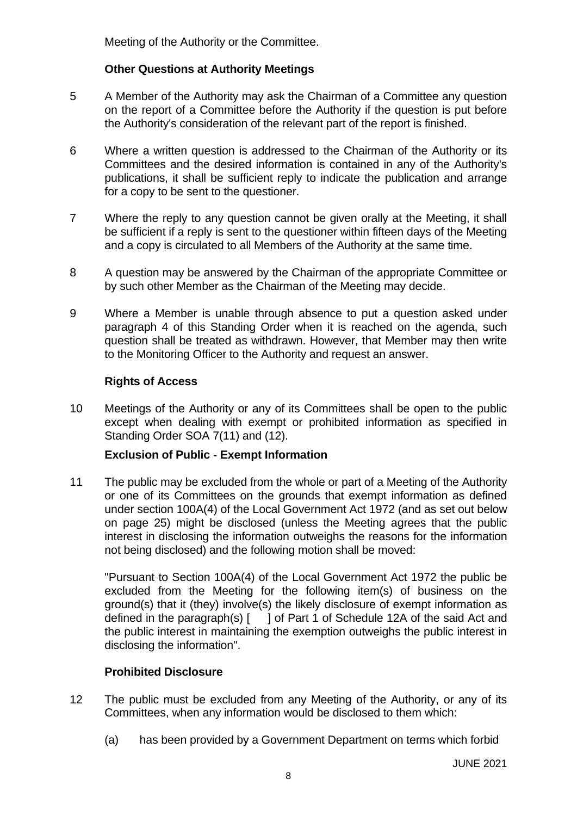Meeting of the Authority or the Committee.

# **Other Questions at Authority Meetings**

- 5 A Member of the Authority may ask the Chairman of a Committee any question on the report of a Committee before the Authority if the question is put before the Authority's consideration of the relevant part of the report is finished.
- 6 Where a written question is addressed to the Chairman of the Authority or its Committees and the desired information is contained in any of the Authority's publications, it shall be sufficient reply to indicate the publication and arrange for a copy to be sent to the questioner.
- 7 Where the reply to any question cannot be given orally at the Meeting, it shall be sufficient if a reply is sent to the questioner within fifteen days of the Meeting and a copy is circulated to all Members of the Authority at the same time.
- 8 A question may be answered by the Chairman of the appropriate Committee or by such other Member as the Chairman of the Meeting may decide.
- 9 Where a Member is unable through absence to put a question asked under paragraph 4 of this Standing Order when it is reached on the agenda, such question shall be treated as withdrawn. However, that Member may then write to the Monitoring Officer to the Authority and request an answer.

# **Rights of Access**

10 Meetings of the Authority or any of its Committees shall be open to the public except when dealing with exempt or prohibited information as specified in Standing Order SOA 7(11) and (12).

# **Exclusion of Public - Exempt Information**

11 The public may be excluded from the whole or part of a Meeting of the Authority or one of its Committees on the grounds that exempt information as defined under section 100A(4) of the Local Government Act 1972 (and as set out below on page 25) might be disclosed (unless the Meeting agrees that the public interest in disclosing the information outweighs the reasons for the information not being disclosed) and the following motion shall be moved:

"Pursuant to Section 100A(4) of the Local Government Act 1972 the public be excluded from the Meeting for the following item(s) of business on the ground(s) that it (they) involve(s) the likely disclosure of exempt information as defined in the paragraph(s) [ ] of Part 1 of Schedule 12A of the said Act and the public interest in maintaining the exemption outweighs the public interest in disclosing the information".

# **Prohibited Disclosure**

- 12 The public must be excluded from any Meeting of the Authority, or any of its Committees, when any information would be disclosed to them which:
	- (a) has been provided by a Government Department on terms which forbid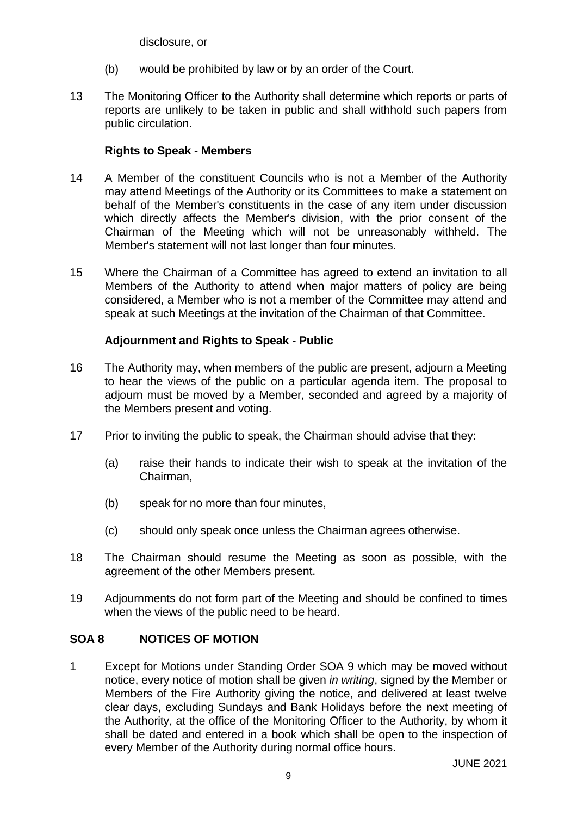disclosure, or

- (b) would be prohibited by law or by an order of the Court.
- 13 The Monitoring Officer to the Authority shall determine which reports or parts of reports are unlikely to be taken in public and shall withhold such papers from public circulation.

# **Rights to Speak - Members**

- 14 A Member of the constituent Councils who is not a Member of the Authority may attend Meetings of the Authority or its Committees to make a statement on behalf of the Member's constituents in the case of any item under discussion which directly affects the Member's division, with the prior consent of the Chairman of the Meeting which will not be unreasonably withheld. The Member's statement will not last longer than four minutes.
- 15 Where the Chairman of a Committee has agreed to extend an invitation to all Members of the Authority to attend when major matters of policy are being considered, a Member who is not a member of the Committee may attend and speak at such Meetings at the invitation of the Chairman of that Committee.

# **Adjournment and Rights to Speak - Public**

- 16 The Authority may, when members of the public are present, adjourn a Meeting to hear the views of the public on a particular agenda item. The proposal to adjourn must be moved by a Member, seconded and agreed by a majority of the Members present and voting.
- 17 Prior to inviting the public to speak, the Chairman should advise that they:
	- (a) raise their hands to indicate their wish to speak at the invitation of the Chairman,
	- (b) speak for no more than four minutes,
	- (c) should only speak once unless the Chairman agrees otherwise.
- 18 The Chairman should resume the Meeting as soon as possible, with the agreement of the other Members present.
- 19 Adjournments do not form part of the Meeting and should be confined to times when the views of the public need to be heard.

# **SOA 8 NOTICES OF MOTION**

1 Except for Motions under Standing Order SOA 9 which may be moved without notice, every notice of motion shall be given *in writing*, signed by the Member or Members of the Fire Authority giving the notice, and delivered at least twelve clear days, excluding Sundays and Bank Holidays before the next meeting of the Authority, at the office of the Monitoring Officer to the Authority, by whom it shall be dated and entered in a book which shall be open to the inspection of every Member of the Authority during normal office hours.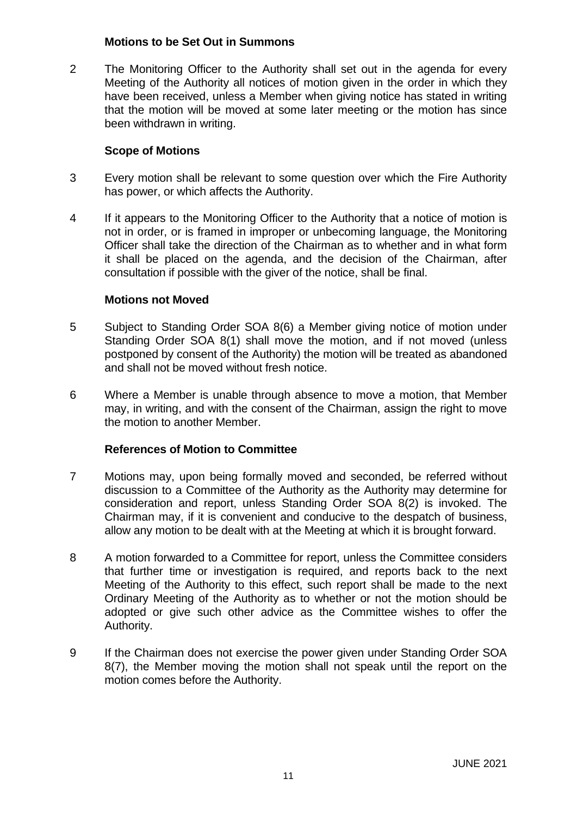#### **Motions to be Set Out in Summons**

2 The Monitoring Officer to the Authority shall set out in the agenda for every Meeting of the Authority all notices of motion given in the order in which they have been received, unless a Member when giving notice has stated in writing that the motion will be moved at some later meeting or the motion has since been withdrawn in writing.

# **Scope of Motions**

- 3 Every motion shall be relevant to some question over which the Fire Authority has power, or which affects the Authority.
- 4 If it appears to the Monitoring Officer to the Authority that a notice of motion is not in order, or is framed in improper or unbecoming language, the Monitoring Officer shall take the direction of the Chairman as to whether and in what form it shall be placed on the agenda, and the decision of the Chairman, after consultation if possible with the giver of the notice, shall be final.

# **Motions not Moved**

- 5 Subject to Standing Order SOA 8(6) a Member giving notice of motion under Standing Order SOA 8(1) shall move the motion, and if not moved (unless postponed by consent of the Authority) the motion will be treated as abandoned and shall not be moved without fresh notice.
- 6 Where a Member is unable through absence to move a motion, that Member may, in writing, and with the consent of the Chairman, assign the right to move the motion to another Member.

# **References of Motion to Committee**

- 7 Motions may, upon being formally moved and seconded, be referred without discussion to a Committee of the Authority as the Authority may determine for consideration and report, unless Standing Order SOA 8(2) is invoked. The Chairman may, if it is convenient and conducive to the despatch of business, allow any motion to be dealt with at the Meeting at which it is brought forward.
- 8 A motion forwarded to a Committee for report, unless the Committee considers that further time or investigation is required, and reports back to the next Meeting of the Authority to this effect, such report shall be made to the next Ordinary Meeting of the Authority as to whether or not the motion should be adopted or give such other advice as the Committee wishes to offer the Authority.
- 9 If the Chairman does not exercise the power given under Standing Order SOA 8(7), the Member moving the motion shall not speak until the report on the motion comes before the Authority.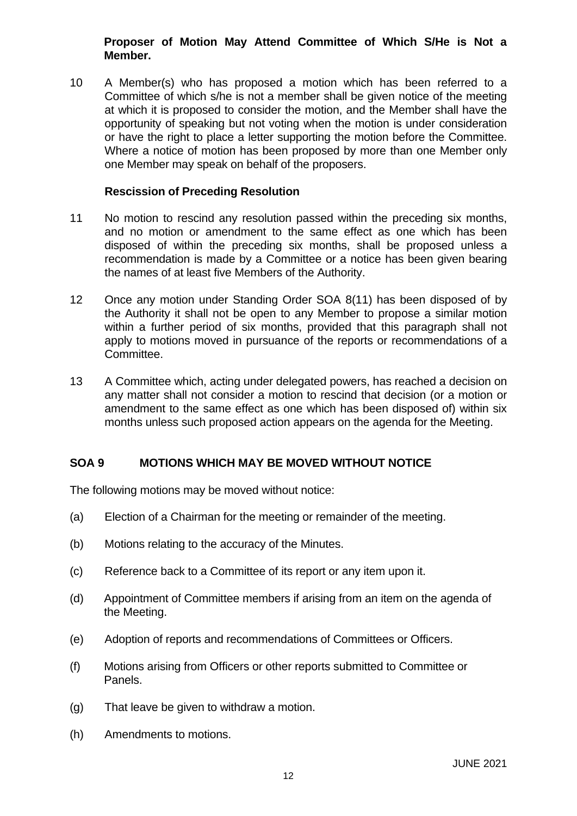# **Proposer of Motion May Attend Committee of Which S/He is Not a Member.**

10 A Member(s) who has proposed a motion which has been referred to a Committee of which s/he is not a member shall be given notice of the meeting at which it is proposed to consider the motion, and the Member shall have the opportunity of speaking but not voting when the motion is under consideration or have the right to place a letter supporting the motion before the Committee. Where a notice of motion has been proposed by more than one Member only one Member may speak on behalf of the proposers.

#### **Rescission of Preceding Resolution**

- 11 No motion to rescind any resolution passed within the preceding six months, and no motion or amendment to the same effect as one which has been disposed of within the preceding six months, shall be proposed unless a recommendation is made by a Committee or a notice has been given bearing the names of at least five Members of the Authority.
- 12 Once any motion under Standing Order SOA 8(11) has been disposed of by the Authority it shall not be open to any Member to propose a similar motion within a further period of six months, provided that this paragraph shall not apply to motions moved in pursuance of the reports or recommendations of a Committee.
- 13 A Committee which, acting under delegated powers, has reached a decision on any matter shall not consider a motion to rescind that decision (or a motion or amendment to the same effect as one which has been disposed of) within six months unless such proposed action appears on the agenda for the Meeting.

# **SOA 9 MOTIONS WHICH MAY BE MOVED WITHOUT NOTICE**

The following motions may be moved without notice:

- (a) Election of a Chairman for the meeting or remainder of the meeting.
- (b) Motions relating to the accuracy of the Minutes.
- (c) Reference back to a Committee of its report or any item upon it.
- (d) Appointment of Committee members if arising from an item on the agenda of the Meeting.
- (e) Adoption of reports and recommendations of Committees or Officers.
- (f) Motions arising from Officers or other reports submitted to Committee or Panels.
- (g) That leave be given to withdraw a motion.
- (h) Amendments to motions.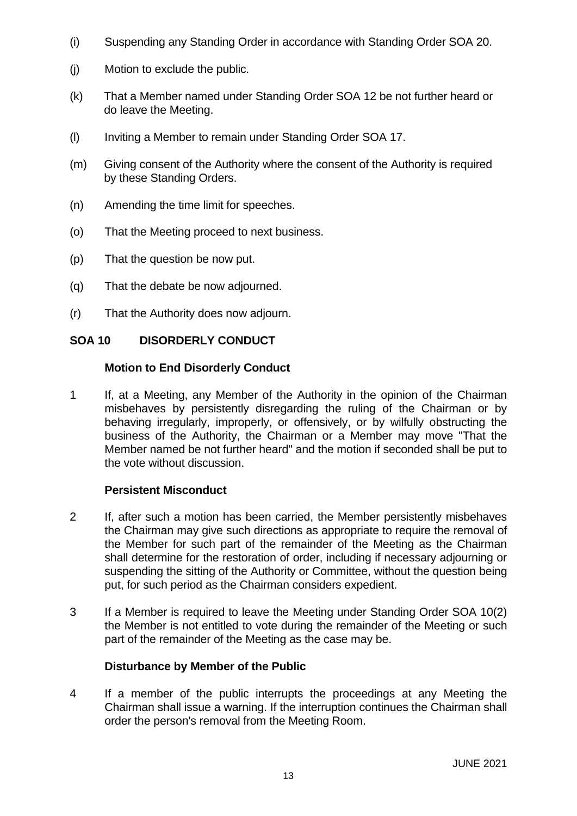- (i) Suspending any Standing Order in accordance with Standing Order SOA 20.
- (j) Motion to exclude the public.
- (k) That a Member named under Standing Order SOA 12 be not further heard or do leave the Meeting.
- (l) Inviting a Member to remain under Standing Order SOA 17.
- (m) Giving consent of the Authority where the consent of the Authority is required by these Standing Orders.
- (n) Amending the time limit for speeches.
- (o) That the Meeting proceed to next business.
- (p) That the question be now put.
- (q) That the debate be now adjourned.
- (r) That the Authority does now adjourn.

#### **SOA 10 DISORDERLY CONDUCT**

#### **Motion to End Disorderly Conduct**

1 If, at a Meeting, any Member of the Authority in the opinion of the Chairman misbehaves by persistently disregarding the ruling of the Chairman or by behaving irregularly, improperly, or offensively, or by wilfully obstructing the business of the Authority, the Chairman or a Member may move "That the Member named be not further heard" and the motion if seconded shall be put to the vote without discussion.

# **Persistent Misconduct**

- 2 If, after such a motion has been carried, the Member persistently misbehaves the Chairman may give such directions as appropriate to require the removal of the Member for such part of the remainder of the Meeting as the Chairman shall determine for the restoration of order, including if necessary adjourning or suspending the sitting of the Authority or Committee, without the question being put, for such period as the Chairman considers expedient.
- 3 If a Member is required to leave the Meeting under Standing Order SOA 10(2) the Member is not entitled to vote during the remainder of the Meeting or such part of the remainder of the Meeting as the case may be.

# **Disturbance by Member of the Public**

4 If a member of the public interrupts the proceedings at any Meeting the Chairman shall issue a warning. If the interruption continues the Chairman shall order the person's removal from the Meeting Room.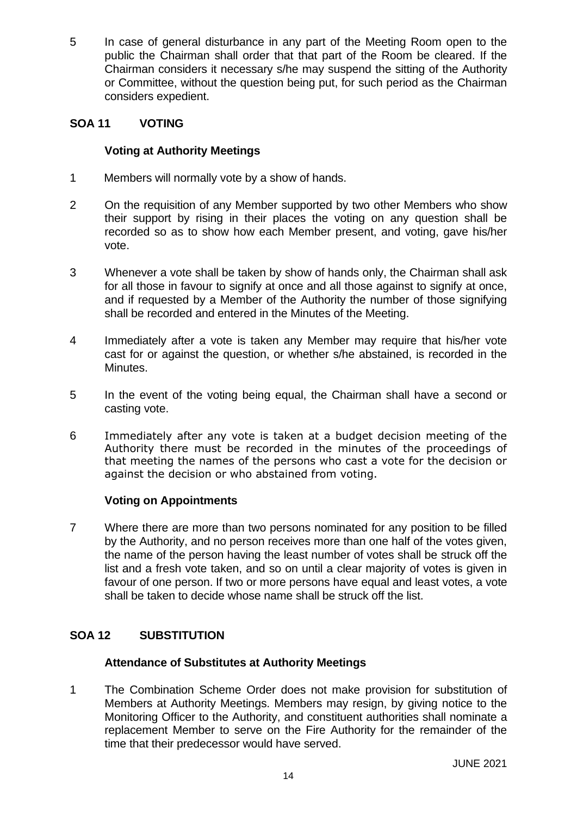5 In case of general disturbance in any part of the Meeting Room open to the public the Chairman shall order that that part of the Room be cleared. If the Chairman considers it necessary s/he may suspend the sitting of the Authority or Committee, without the question being put, for such period as the Chairman considers expedient.

# **SOA 11 VOTING**

# **Voting at Authority Meetings**

- 1 Members will normally vote by a show of hands.
- 2 On the requisition of any Member supported by two other Members who show their support by rising in their places the voting on any question shall be recorded so as to show how each Member present, and voting, gave his/her vote.
- 3 Whenever a vote shall be taken by show of hands only, the Chairman shall ask for all those in favour to signify at once and all those against to signify at once, and if requested by a Member of the Authority the number of those signifying shall be recorded and entered in the Minutes of the Meeting.
- 4 Immediately after a vote is taken any Member may require that his/her vote cast for or against the question, or whether s/he abstained, is recorded in the Minutes.
- 5 In the event of the voting being equal, the Chairman shall have a second or casting vote.
- 6 Immediately after any vote is taken at a budget decision meeting of the Authority there must be recorded in the minutes of the proceedings of that meeting the names of the persons who cast a vote for the decision or against the decision or who abstained from voting.

# **Voting on Appointments**

7 Where there are more than two persons nominated for any position to be filled by the Authority, and no person receives more than one half of the votes given, the name of the person having the least number of votes shall be struck off the list and a fresh vote taken, and so on until a clear majority of votes is given in favour of one person. If two or more persons have equal and least votes, a vote shall be taken to decide whose name shall be struck off the list.

# **SOA 12 SUBSTITUTION**

# **Attendance of Substitutes at Authority Meetings**

1 The Combination Scheme Order does not make provision for substitution of Members at Authority Meetings. Members may resign, by giving notice to the Monitoring Officer to the Authority, and constituent authorities shall nominate a replacement Member to serve on the Fire Authority for the remainder of the time that their predecessor would have served.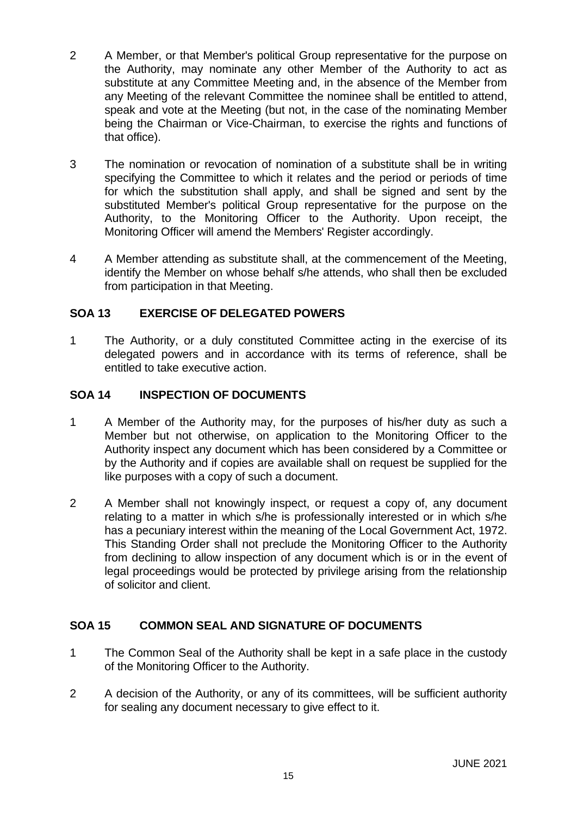- 2 A Member, or that Member's political Group representative for the purpose on the Authority, may nominate any other Member of the Authority to act as substitute at any Committee Meeting and, in the absence of the Member from any Meeting of the relevant Committee the nominee shall be entitled to attend, speak and vote at the Meeting (but not, in the case of the nominating Member being the Chairman or Vice-Chairman, to exercise the rights and functions of that office).
- 3 The nomination or revocation of nomination of a substitute shall be in writing specifying the Committee to which it relates and the period or periods of time for which the substitution shall apply, and shall be signed and sent by the substituted Member's political Group representative for the purpose on the Authority, to the Monitoring Officer to the Authority. Upon receipt, the Monitoring Officer will amend the Members' Register accordingly.
- 4 A Member attending as substitute shall, at the commencement of the Meeting, identify the Member on whose behalf s/he attends, who shall then be excluded from participation in that Meeting.

# **SOA 13 EXERCISE OF DELEGATED POWERS**

1 The Authority, or a duly constituted Committee acting in the exercise of its delegated powers and in accordance with its terms of reference, shall be entitled to take executive action.

# **SOA 14 INSPECTION OF DOCUMENTS**

- 1 A Member of the Authority may, for the purposes of his/her duty as such a Member but not otherwise, on application to the Monitoring Officer to the Authority inspect any document which has been considered by a Committee or by the Authority and if copies are available shall on request be supplied for the like purposes with a copy of such a document.
- 2 A Member shall not knowingly inspect, or request a copy of, any document relating to a matter in which s/he is professionally interested or in which s/he has a pecuniary interest within the meaning of the Local Government Act, 1972. This Standing Order shall not preclude the Monitoring Officer to the Authority from declining to allow inspection of any document which is or in the event of legal proceedings would be protected by privilege arising from the relationship of solicitor and client.

# **SOA 15 COMMON SEAL AND SIGNATURE OF DOCUMENTS**

- 1 The Common Seal of the Authority shall be kept in a safe place in the custody of the Monitoring Officer to the Authority.
- 2 A decision of the Authority, or any of its committees, will be sufficient authority for sealing any document necessary to give effect to it.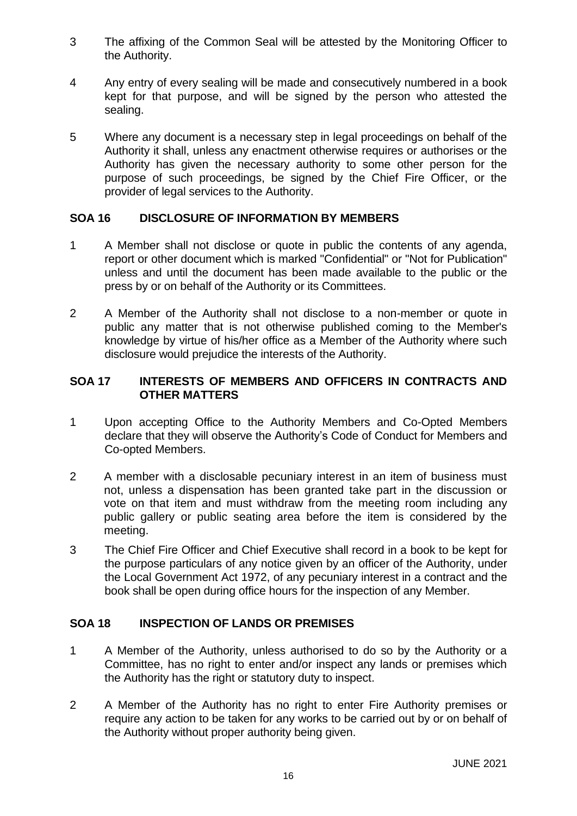- 3 The affixing of the Common Seal will be attested by the Monitoring Officer to the Authority.
- 4 Any entry of every sealing will be made and consecutively numbered in a book kept for that purpose, and will be signed by the person who attested the sealing.
- 5 Where any document is a necessary step in legal proceedings on behalf of the Authority it shall, unless any enactment otherwise requires or authorises or the Authority has given the necessary authority to some other person for the purpose of such proceedings, be signed by the Chief Fire Officer, or the provider of legal services to the Authority.

# **SOA 16 DISCLOSURE OF INFORMATION BY MEMBERS**

- 1 A Member shall not disclose or quote in public the contents of any agenda, report or other document which is marked "Confidential" or "Not for Publication" unless and until the document has been made available to the public or the press by or on behalf of the Authority or its Committees.
- 2 A Member of the Authority shall not disclose to a non-member or quote in public any matter that is not otherwise published coming to the Member's knowledge by virtue of his/her office as a Member of the Authority where such disclosure would prejudice the interests of the Authority.

# **SOA 17 INTERESTS OF MEMBERS AND OFFICERS IN CONTRACTS AND OTHER MATTERS**

- 1 Upon accepting Office to the Authority Members and Co-Opted Members declare that they will observe the Authority's Code of Conduct for Members and Co-opted Members.
- 2 A member with a disclosable pecuniary interest in an item of business must not, unless a dispensation has been granted take part in the discussion or vote on that item and must withdraw from the meeting room including any public gallery or public seating area before the item is considered by the meeting.
- 3 The Chief Fire Officer and Chief Executive shall record in a book to be kept for the purpose particulars of any notice given by an officer of the Authority, under the Local Government Act 1972, of any pecuniary interest in a contract and the book shall be open during office hours for the inspection of any Member.

# **SOA 18 INSPECTION OF LANDS OR PREMISES**

- 1 A Member of the Authority, unless authorised to do so by the Authority or a Committee, has no right to enter and/or inspect any lands or premises which the Authority has the right or statutory duty to inspect.
- 2 A Member of the Authority has no right to enter Fire Authority premises or require any action to be taken for any works to be carried out by or on behalf of the Authority without proper authority being given.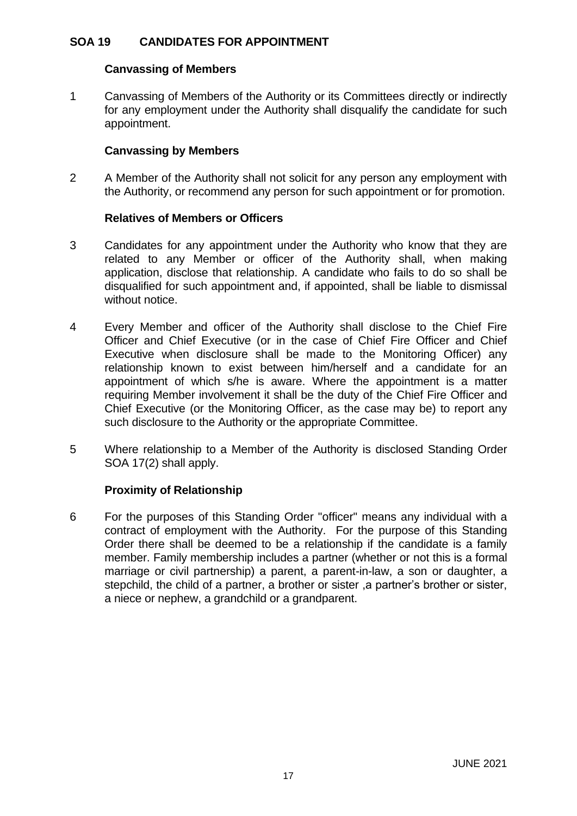# **SOA 19 CANDIDATES FOR APPOINTMENT**

#### **Canvassing of Members**

1 Canvassing of Members of the Authority or its Committees directly or indirectly for any employment under the Authority shall disqualify the candidate for such appointment.

# **Canvassing by Members**

2 A Member of the Authority shall not solicit for any person any employment with the Authority, or recommend any person for such appointment or for promotion.

# **Relatives of Members or Officers**

- 3 Candidates for any appointment under the Authority who know that they are related to any Member or officer of the Authority shall, when making application, disclose that relationship. A candidate who fails to do so shall be disqualified for such appointment and, if appointed, shall be liable to dismissal without notice.
- 4 Every Member and officer of the Authority shall disclose to the Chief Fire Officer and Chief Executive (or in the case of Chief Fire Officer and Chief Executive when disclosure shall be made to the Monitoring Officer) any relationship known to exist between him/herself and a candidate for an appointment of which s/he is aware. Where the appointment is a matter requiring Member involvement it shall be the duty of the Chief Fire Officer and Chief Executive (or the Monitoring Officer, as the case may be) to report any such disclosure to the Authority or the appropriate Committee.
- 5 Where relationship to a Member of the Authority is disclosed Standing Order SOA 17(2) shall apply.

# **Proximity of Relationship**

6 For the purposes of this Standing Order "officer" means any individual with a contract of employment with the Authority. For the purpose of this Standing Order there shall be deemed to be a relationship if the candidate is a family member. Family membership includes a partner (whether or not this is a formal marriage or civil partnership) a parent, a parent-in-law, a son or daughter, a stepchild, the child of a partner, a brother or sister ,a partner's brother or sister, a niece or nephew, a grandchild or a grandparent.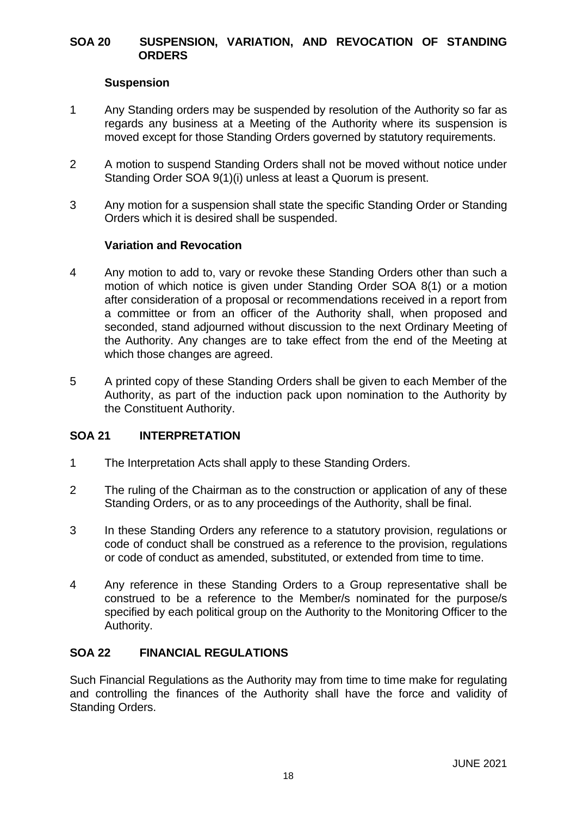### **SOA 20 SUSPENSION, VARIATION, AND REVOCATION OF STANDING ORDERS**

# **Suspension**

- 1 Any Standing orders may be suspended by resolution of the Authority so far as regards any business at a Meeting of the Authority where its suspension is moved except for those Standing Orders governed by statutory requirements.
- 2 A motion to suspend Standing Orders shall not be moved without notice under Standing Order SOA 9(1)(i) unless at least a Quorum is present.
- 3 Any motion for a suspension shall state the specific Standing Order or Standing Orders which it is desired shall be suspended.

#### **Variation and Revocation**

- 4 Any motion to add to, vary or revoke these Standing Orders other than such a motion of which notice is given under Standing Order SOA 8(1) or a motion after consideration of a proposal or recommendations received in a report from a committee or from an officer of the Authority shall, when proposed and seconded, stand adjourned without discussion to the next Ordinary Meeting of the Authority. Any changes are to take effect from the end of the Meeting at which those changes are agreed.
- 5 A printed copy of these Standing Orders shall be given to each Member of the Authority, as part of the induction pack upon nomination to the Authority by the Constituent Authority.

# **SOA 21 INTERPRETATION**

- 1 The Interpretation Acts shall apply to these Standing Orders.
- 2 The ruling of the Chairman as to the construction or application of any of these Standing Orders, or as to any proceedings of the Authority, shall be final.
- 3 In these Standing Orders any reference to a statutory provision, regulations or code of conduct shall be construed as a reference to the provision, regulations or code of conduct as amended, substituted, or extended from time to time.
- 4 Any reference in these Standing Orders to a Group representative shall be construed to be a reference to the Member/s nominated for the purpose/s specified by each political group on the Authority to the Monitoring Officer to the Authority.

# **SOA 22 FINANCIAL REGULATIONS**

Such Financial Regulations as the Authority may from time to time make for regulating and controlling the finances of the Authority shall have the force and validity of Standing Orders.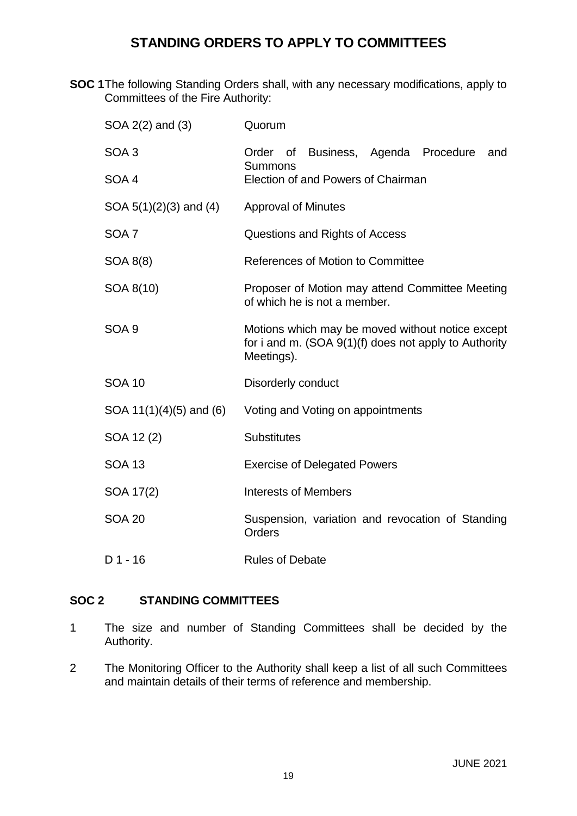# **STANDING ORDERS TO APPLY TO COMMITTEES**

**SOC 1**The following Standing Orders shall, with any necessary modifications, apply to Committees of the Fire Authority:

| SOA 2(2) and (3)            | Quorum                                                                                                                    |
|-----------------------------|---------------------------------------------------------------------------------------------------------------------------|
| SOA <sub>3</sub>            | Order of Business, Agenda Procedure<br>and<br>Summons                                                                     |
| SOA 4                       | Election of and Powers of Chairman                                                                                        |
| SOA $5(1)(2)(3)$ and $(4)$  | <b>Approval of Minutes</b>                                                                                                |
| SOA <sub>7</sub>            | Questions and Rights of Access                                                                                            |
| SOA 8(8)                    | References of Motion to Committee                                                                                         |
| SOA 8(10)                   | Proposer of Motion may attend Committee Meeting<br>of which he is not a member.                                           |
| SOA <sub>9</sub>            | Motions which may be moved without notice except<br>for i and m. $(SOA 9(1)(f)$ does not apply to Authority<br>Meetings). |
| <b>SOA 10</b>               | Disorderly conduct                                                                                                        |
| SOA $11(1)(4)(5)$ and $(6)$ | Voting and Voting on appointments                                                                                         |
| SOA 12(2)                   | <b>Substitutes</b>                                                                                                        |
| <b>SOA 13</b>               | <b>Exercise of Delegated Powers</b>                                                                                       |
| SOA 17(2)                   | <b>Interests of Members</b>                                                                                               |
| <b>SOA 20</b>               | Suspension, variation and revocation of Standing<br><b>Orders</b>                                                         |
| $D$ 1 - 16                  | <b>Rules of Debate</b>                                                                                                    |

# **SOC 2 STANDING COMMITTEES**

- 1 The size and number of Standing Committees shall be decided by the Authority.
- 2 The Monitoring Officer to the Authority shall keep a list of all such Committees and maintain details of their terms of reference and membership.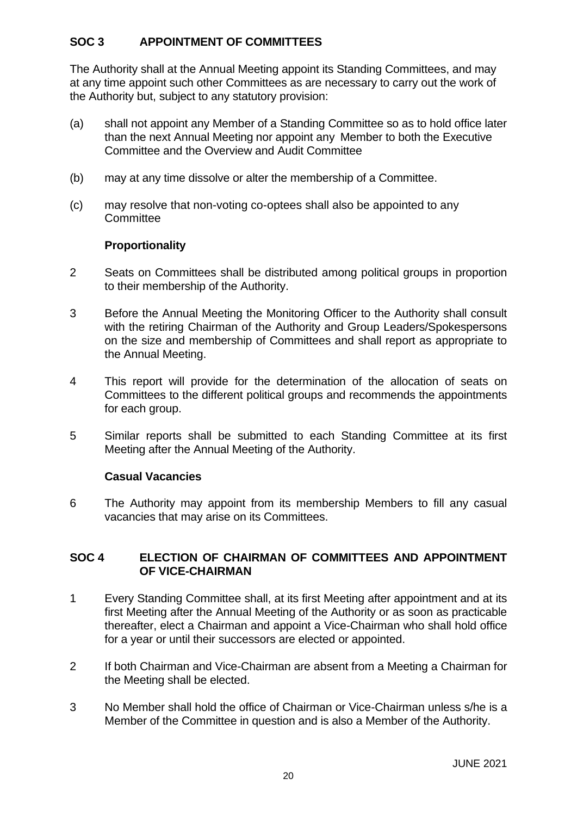# **SOC 3 APPOINTMENT OF COMMITTEES**

The Authority shall at the Annual Meeting appoint its Standing Committees, and may at any time appoint such other Committees as are necessary to carry out the work of the Authority but, subject to any statutory provision:

- (a) shall not appoint any Member of a Standing Committee so as to hold office later than the next Annual Meeting nor appoint any Member to both the Executive Committee and the Overview and Audit Committee
- (b) may at any time dissolve or alter the membership of a Committee.
- (c) may resolve that non-voting co-optees shall also be appointed to any **Committee**

# **Proportionality**

- 2 Seats on Committees shall be distributed among political groups in proportion to their membership of the Authority.
- 3 Before the Annual Meeting the Monitoring Officer to the Authority shall consult with the retiring Chairman of the Authority and Group Leaders/Spokespersons on the size and membership of Committees and shall report as appropriate to the Annual Meeting.
- 4 This report will provide for the determination of the allocation of seats on Committees to the different political groups and recommends the appointments for each group.
- 5 Similar reports shall be submitted to each Standing Committee at its first Meeting after the Annual Meeting of the Authority.

#### **Casual Vacancies**

6 The Authority may appoint from its membership Members to fill any casual vacancies that may arise on its Committees.

# **SOC 4 ELECTION OF CHAIRMAN OF COMMITTEES AND APPOINTMENT OF VICE-CHAIRMAN**

- 1 Every Standing Committee shall, at its first Meeting after appointment and at its first Meeting after the Annual Meeting of the Authority or as soon as practicable thereafter, elect a Chairman and appoint a Vice-Chairman who shall hold office for a year or until their successors are elected or appointed.
- 2 If both Chairman and Vice-Chairman are absent from a Meeting a Chairman for the Meeting shall be elected.
- 3 No Member shall hold the office of Chairman or Vice-Chairman unless s/he is a Member of the Committee in question and is also a Member of the Authority.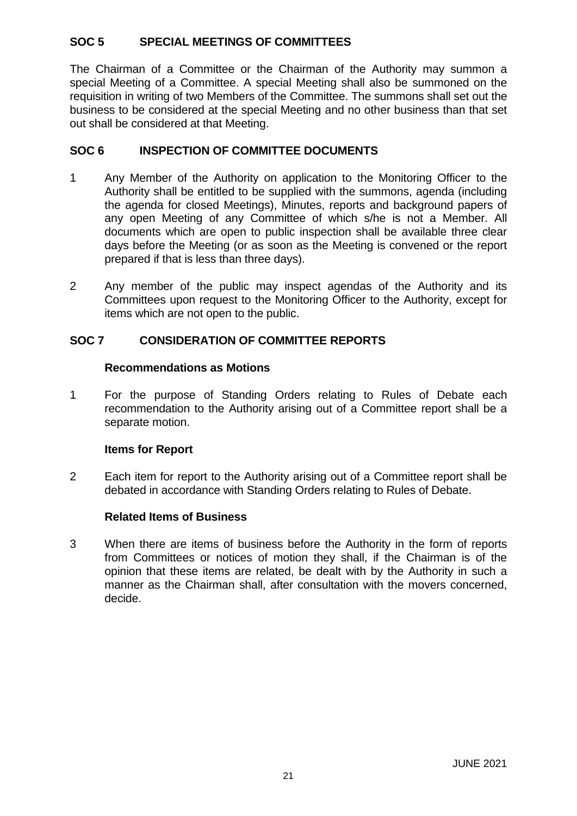# **SOC 5 SPECIAL MEETINGS OF COMMITTEES**

The Chairman of a Committee or the Chairman of the Authority may summon a special Meeting of a Committee. A special Meeting shall also be summoned on the requisition in writing of two Members of the Committee. The summons shall set out the business to be considered at the special Meeting and no other business than that set out shall be considered at that Meeting.

# **SOC 6 INSPECTION OF COMMITTEE DOCUMENTS**

- 1 Any Member of the Authority on application to the Monitoring Officer to the Authority shall be entitled to be supplied with the summons, agenda (including the agenda for closed Meetings), Minutes, reports and background papers of any open Meeting of any Committee of which s/he is not a Member. All documents which are open to public inspection shall be available three clear days before the Meeting (or as soon as the Meeting is convened or the report prepared if that is less than three days).
- 2 Any member of the public may inspect agendas of the Authority and its Committees upon request to the Monitoring Officer to the Authority, except for items which are not open to the public.

# **SOC 7 CONSIDERATION OF COMMITTEE REPORTS**

# **Recommendations as Motions**

1 For the purpose of Standing Orders relating to Rules of Debate each recommendation to the Authority arising out of a Committee report shall be a separate motion.

# **Items for Report**

2 Each item for report to the Authority arising out of a Committee report shall be debated in accordance with Standing Orders relating to Rules of Debate.

# **Related Items of Business**

3 When there are items of business before the Authority in the form of reports from Committees or notices of motion they shall, if the Chairman is of the opinion that these items are related, be dealt with by the Authority in such a manner as the Chairman shall, after consultation with the movers concerned, decide.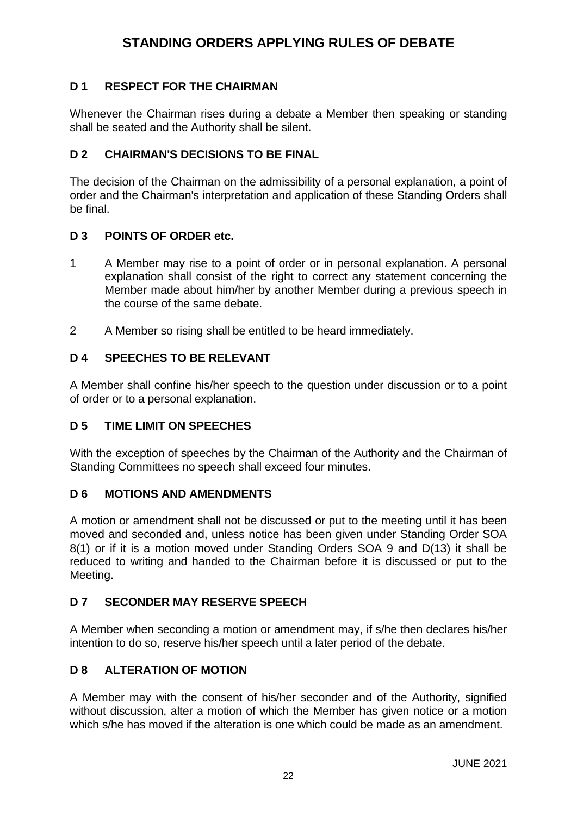# **STANDING ORDERS APPLYING RULES OF DEBATE**

# **D 1 RESPECT FOR THE CHAIRMAN**

Whenever the Chairman rises during a debate a Member then speaking or standing shall be seated and the Authority shall be silent.

# **D 2 CHAIRMAN'S DECISIONS TO BE FINAL**

The decision of the Chairman on the admissibility of a personal explanation, a point of order and the Chairman's interpretation and application of these Standing Orders shall be final.

# **D 3 POINTS OF ORDER etc.**

- 1 A Member may rise to a point of order or in personal explanation. A personal explanation shall consist of the right to correct any statement concerning the Member made about him/her by another Member during a previous speech in the course of the same debate.
- 2 A Member so rising shall be entitled to be heard immediately.

# **D 4 SPEECHES TO BE RELEVANT**

A Member shall confine his/her speech to the question under discussion or to a point of order or to a personal explanation.

# **D 5 TIME LIMIT ON SPEECHES**

With the exception of speeches by the Chairman of the Authority and the Chairman of Standing Committees no speech shall exceed four minutes.

# **D 6 MOTIONS AND AMENDMENTS**

A motion or amendment shall not be discussed or put to the meeting until it has been moved and seconded and, unless notice has been given under Standing Order SOA 8(1) or if it is a motion moved under Standing Orders SOA 9 and D(13) it shall be reduced to writing and handed to the Chairman before it is discussed or put to the Meeting.

# **D 7 SECONDER MAY RESERVE SPEECH**

A Member when seconding a motion or amendment may, if s/he then declares his/her intention to do so, reserve his/her speech until a later period of the debate.

# **D 8 ALTERATION OF MOTION**

A Member may with the consent of his/her seconder and of the Authority, signified without discussion, alter a motion of which the Member has given notice or a motion which s/he has moved if the alteration is one which could be made as an amendment.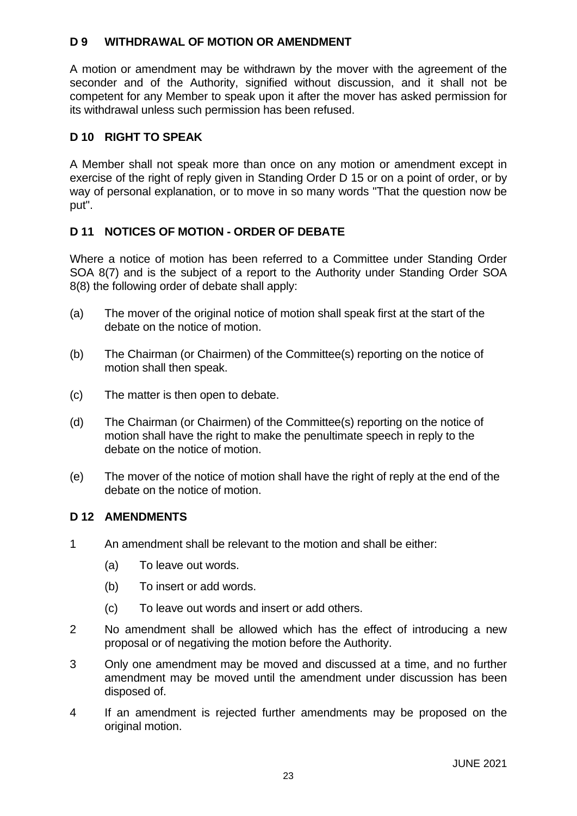# **D 9 WITHDRAWAL OF MOTION OR AMENDMENT**

A motion or amendment may be withdrawn by the mover with the agreement of the seconder and of the Authority, signified without discussion, and it shall not be competent for any Member to speak upon it after the mover has asked permission for its withdrawal unless such permission has been refused.

# **D 10 RIGHT TO SPEAK**

A Member shall not speak more than once on any motion or amendment except in exercise of the right of reply given in Standing Order D 15 or on a point of order, or by way of personal explanation, or to move in so many words "That the question now be put".

# **D 11 NOTICES OF MOTION - ORDER OF DEBATE**

Where a notice of motion has been referred to a Committee under Standing Order SOA 8(7) and is the subject of a report to the Authority under Standing Order SOA 8(8) the following order of debate shall apply:

- (a) The mover of the original notice of motion shall speak first at the start of the debate on the notice of motion.
- (b) The Chairman (or Chairmen) of the Committee(s) reporting on the notice of motion shall then speak.
- (c) The matter is then open to debate.
- (d) The Chairman (or Chairmen) of the Committee(s) reporting on the notice of motion shall have the right to make the penultimate speech in reply to the debate on the notice of motion.
- (e) The mover of the notice of motion shall have the right of reply at the end of the debate on the notice of motion.

# **D 12 AMENDMENTS**

- 1 An amendment shall be relevant to the motion and shall be either:
	- (a) To leave out words.
	- (b) To insert or add words.
	- (c) To leave out words and insert or add others.
- 2 No amendment shall be allowed which has the effect of introducing a new proposal or of negativing the motion before the Authority.
- 3 Only one amendment may be moved and discussed at a time, and no further amendment may be moved until the amendment under discussion has been disposed of.
- 4 If an amendment is rejected further amendments may be proposed on the original motion.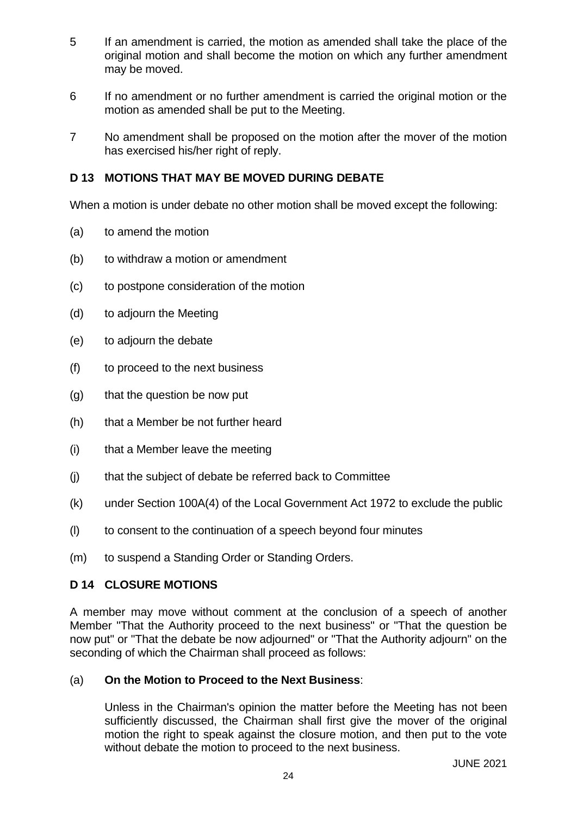- 5 If an amendment is carried, the motion as amended shall take the place of the original motion and shall become the motion on which any further amendment may be moved.
- 6 If no amendment or no further amendment is carried the original motion or the motion as amended shall be put to the Meeting.
- 7 No amendment shall be proposed on the motion after the mover of the motion has exercised his/her right of reply.

# **D 13 MOTIONS THAT MAY BE MOVED DURING DEBATE**

When a motion is under debate no other motion shall be moved except the following:

- (a) to amend the motion
- (b) to withdraw a motion or amendment
- (c) to postpone consideration of the motion
- (d) to adjourn the Meeting
- (e) to adjourn the debate
- (f) to proceed to the next business
- (g) that the question be now put
- (h) that a Member be not further heard
- (i) that a Member leave the meeting
- (j) that the subject of debate be referred back to Committee
- (k) under Section 100A(4) of the Local Government Act 1972 to exclude the public
- (l) to consent to the continuation of a speech beyond four minutes
- (m) to suspend a Standing Order or Standing Orders.

# **D 14 CLOSURE MOTIONS**

A member may move without comment at the conclusion of a speech of another Member "That the Authority proceed to the next business" or "That the question be now put" or "That the debate be now adjourned" or "That the Authority adjourn" on the seconding of which the Chairman shall proceed as follows:

#### (a) **On the Motion to Proceed to the Next Business**:

Unless in the Chairman's opinion the matter before the Meeting has not been sufficiently discussed, the Chairman shall first give the mover of the original motion the right to speak against the closure motion, and then put to the vote without debate the motion to proceed to the next business.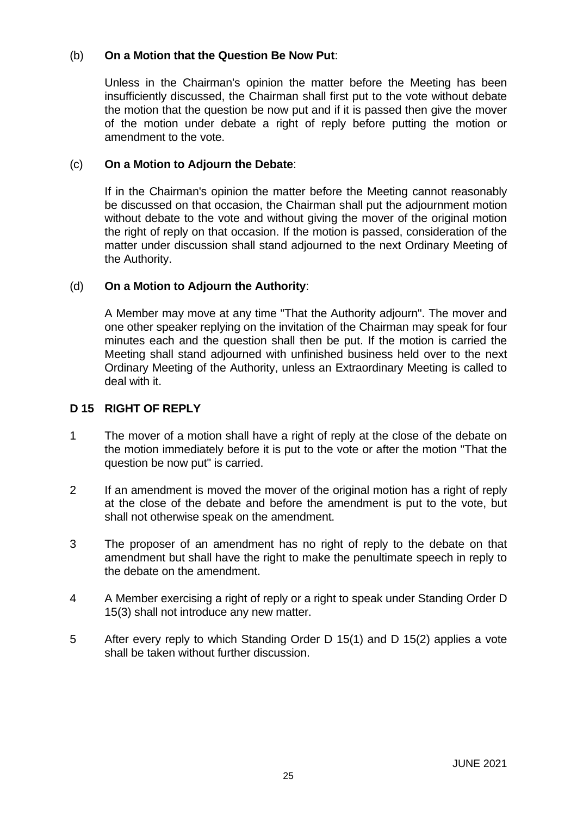# (b) **On a Motion that the Question Be Now Put**:

Unless in the Chairman's opinion the matter before the Meeting has been insufficiently discussed, the Chairman shall first put to the vote without debate the motion that the question be now put and if it is passed then give the mover of the motion under debate a right of reply before putting the motion or amendment to the vote.

### (c) **On a Motion to Adjourn the Debate**:

If in the Chairman's opinion the matter before the Meeting cannot reasonably be discussed on that occasion, the Chairman shall put the adjournment motion without debate to the vote and without giving the mover of the original motion the right of reply on that occasion. If the motion is passed, consideration of the matter under discussion shall stand adjourned to the next Ordinary Meeting of the Authority.

#### (d) **On a Motion to Adjourn the Authority**:

A Member may move at any time "That the Authority adjourn". The mover and one other speaker replying on the invitation of the Chairman may speak for four minutes each and the question shall then be put. If the motion is carried the Meeting shall stand adjourned with unfinished business held over to the next Ordinary Meeting of the Authority, unless an Extraordinary Meeting is called to deal with it.

#### **D 15 RIGHT OF REPLY**

- 1 The mover of a motion shall have a right of reply at the close of the debate on the motion immediately before it is put to the vote or after the motion "That the question be now put" is carried.
- 2 If an amendment is moved the mover of the original motion has a right of reply at the close of the debate and before the amendment is put to the vote, but shall not otherwise speak on the amendment.
- 3 The proposer of an amendment has no right of reply to the debate on that amendment but shall have the right to make the penultimate speech in reply to the debate on the amendment.
- 4 A Member exercising a right of reply or a right to speak under Standing Order D 15(3) shall not introduce any new matter.
- 5 After every reply to which Standing Order D 15(1) and D 15(2) applies a vote shall be taken without further discussion.